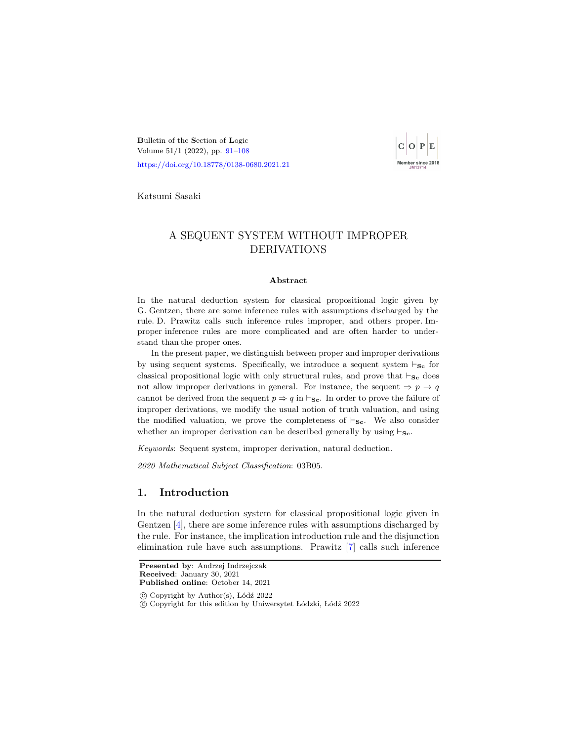<span id="page-0-0"></span>Bulletin of the Section of Logic Volume 51/1 (2022), pp. [91–](#page-0-0)[108](#page-17-0) <https://doi.org/10.18778/0138-0680.2021.21>



Katsumi Sasaki

# A SEQUENT SYSTEM WITHOUT IMPROPER DERIVATIONS

#### Abstract

In the natural deduction system for classical propositional logic given by G. Gentzen, there are some inference rules with assumptions discharged by the rule. D. Prawitz calls such inference rules improper, and others proper. Improper inference rules are more complicated and are often harder to understand than the proper ones.

In the present paper, we distinguish between proper and improper derivations by using sequent systems. Specifically, we introduce a sequent system  $\vdash_{\mathbf{Sc}}$  for classical propositional logic with only structural rules, and prove that  $\vdash_{\mathbf{Sc}}$  does not allow improper derivations in general. For instance, the sequent  $\Rightarrow p \rightarrow q$ cannot be derived from the sequent  $p \Rightarrow q$  in  $\vdash_{\mathbf{Sc}}$ . In order to prove the failure of improper derivations, we modify the usual notion of truth valuation, and using the modified valuation, we prove the completeness of  $\vdash_{\mathbf{Sc}}$ . We also consider whether an improper derivation can be described generally by using  $\vdash_{\mathbf{Sc}}$ .

Keywords: Sequent system, improper derivation, natural deduction.

2020 Mathematical Subject Classification: 03B05.

# 1. Introduction

In the natural deduction system for classical propositional logic given in Gentzen [\[4\]](#page-16-0), there are some inference rules with assumptions discharged by the rule. For instance, the implication introduction rule and the disjunction elimination rule have such assumptions. Prawitz [\[7\]](#page-17-1) calls such inference

 $\odot$  Copyright by Author(s), Lódź 2022

c Copyright for this edition by Uniwersytet L´odzki, L´od´z 2022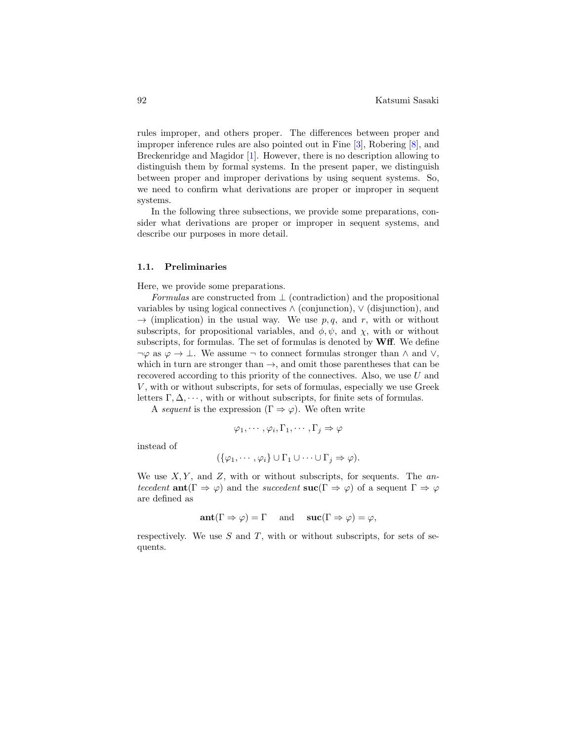rules improper, and others proper. The differences between proper and improper inference rules are also pointed out in Fine [\[3\]](#page-16-1), Robering [\[8\]](#page-17-2), and Breckenridge and Magidor [\[1\]](#page-16-2). However, there is no description allowing to distinguish them by formal systems. In the present paper, we distinguish between proper and improper derivations by using sequent systems. So, we need to confirm what derivations are proper or improper in sequent systems.

In the following three subsections, we provide some preparations, consider what derivations are proper or improper in sequent systems, and describe our purposes in more detail.

#### 1.1. Preliminaries

Here, we provide some preparations.

Formulas are constructed from  $\perp$  (contradiction) and the propositional variables by using logical connectives  $\wedge$  (conjunction),  $\vee$  (disjunction), and  $\rightarrow$  (implication) in the usual way. We use p, q, and r, with or without subscripts, for propositional variables, and  $\phi, \psi$ , and  $\chi$ , with or without subscripts, for formulas. The set of formulas is denoted by  $\mathbf{W} \mathbf{f}$ . We define  $\neg \varphi$  as  $\varphi \to \bot$ . We assume  $\neg$  to connect formulas stronger than  $\wedge$  and  $\vee$ , which in turn are stronger than  $\rightarrow$ , and omit those parentheses that can be recovered according to this priority of the connectives. Also, we use U and  $V$ , with or without subscripts, for sets of formulas, especially we use Greek letters  $\Gamma, \Delta, \cdots$ , with or without subscripts, for finite sets of formulas.

A sequent is the expression  $(\Gamma \Rightarrow \varphi)$ . We often write

$$
\varphi_1, \cdots, \varphi_i, \Gamma_1, \cdots, \Gamma_j \Rightarrow \varphi
$$

instead of

$$
(\{\varphi_1,\cdots,\varphi_i\}\cup\Gamma_1\cup\cdots\cup\Gamma_j\Rightarrow\varphi).
$$

We use  $X, Y$ , and  $Z$ , with or without subscripts, for sequents. The antecedent ant  $(\Gamma \Rightarrow \varphi)$  and the succedent suc $(\Gamma \Rightarrow \varphi)$  of a sequent  $\Gamma \Rightarrow \varphi$ are defined as

$$
\operatorname{ant}(\Gamma \Rightarrow \varphi) = \Gamma \quad \text{and} \quad \operatorname{succ}(\Gamma \Rightarrow \varphi) = \varphi,
$$

respectively. We use  $S$  and  $T$ , with or without subscripts, for sets of sequents.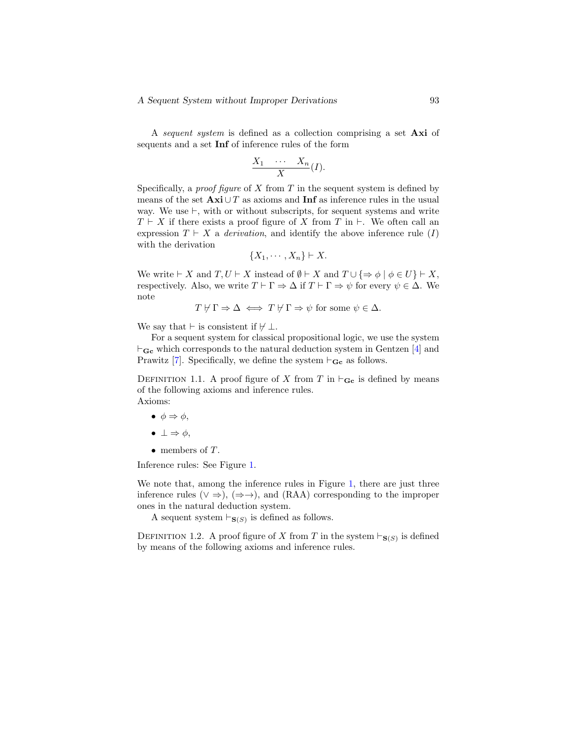A sequent system is defined as a collection comprising a set Axi of sequents and a set Inf of inference rules of the form

$$
\frac{X_1 \cdots X_n}{X}(I).
$$

Specifically, a *proof figure* of X from T in the sequent system is defined by means of the set  $\mathbf{A} \mathbf{x} \mathbf{i} \cup T$  as axioms and **Inf** as inference rules in the usual way. We use  $\vdash$ , with or without subscripts, for sequent systems and write  $T \vdash X$  if there exists a proof figure of X from T in  $\vdash$ . We often call an expression  $T \vdash X$  a *derivation*, and identify the above inference rule  $(I)$ with the derivation

$$
\{X_1,\cdots,X_n\}\vdash X.
$$

We write  $\vdash X$  and  $T, U \vdash X$  instead of  $\emptyset \vdash X$  and  $T \cup \{\Rightarrow \phi \mid \phi \in U\} \vdash X$ , respectively. Also, we write  $T \vdash \Gamma \Rightarrow \Delta$  if  $T \vdash \Gamma \Rightarrow \psi$  for every  $\psi \in \Delta$ . We note

 $T \nvdash \Gamma \Rightarrow \Delta \iff T \nvdash \Gamma \Rightarrow \psi \text{ for some } \psi \in \Delta.$ 

We say that  $\vdash$  is consistent if  $\nvdash \bot$ .

For a sequent system for classical propositional logic, we use the system  $\vdash_{\mathbf{Gc}}$  which corresponds to the natural deduction system in Gentzen [\[4\]](#page-16-3) and Prawitz [\[7\]](#page-17-3). Specifically, we define the system  $\vdash_{\mathbf{Gc}}$  as follows.

DEFINITION 1.1. A proof figure of X from T in  $\vdash_{\mathbf{Gc}}$  is defined by means of the following axioms and inference rules. Axioms:

- $\bullet \phi \Rightarrow \phi,$
- $\bullet \perp \Rightarrow \phi.$
- members of T.

Inference rules: See Figure [1.](#page-3-0)

We note that, among the inference rules in Figure [1,](#page-3-0) there are just three inference rules ( $\vee \Rightarrow$ ), ( $\Rightarrow \rightarrow$ ), and (RAA) corresponding to the improper ones in the natural deduction system.

A sequent system  $\vdash_{\mathbf{S}(S)}$  is defined as follows.

DEFINITION 1.2. A proof figure of X from T in the system  $\vdash_{\mathbf{S}(S)}$  is defined by means of the following axioms and inference rules.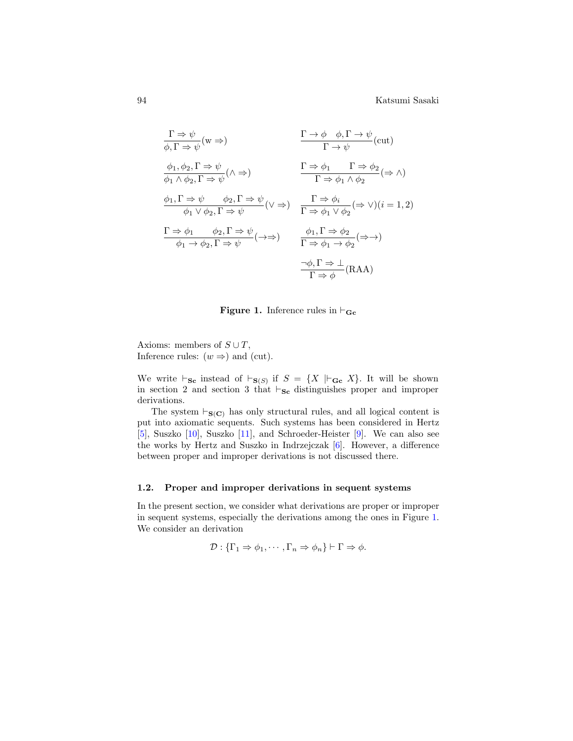<span id="page-3-0"></span>
$$
\frac{\Gamma \Rightarrow \psi}{\phi, \Gamma \Rightarrow \psi} (w \Rightarrow) \qquad \frac{\Gamma \to \phi \quad \phi, \Gamma \to \psi}{\Gamma \to \psi} (cut)
$$
\n
$$
\frac{\phi_1, \phi_2, \Gamma \Rightarrow \psi}{\phi_1 \land \phi_2, \Gamma \Rightarrow \psi} (\land \Rightarrow) \qquad \frac{\Gamma \Rightarrow \phi_1 \quad \Gamma \Rightarrow \phi_2}{\Gamma \Rightarrow \phi_1 \land \phi_2} (\Rightarrow \land)
$$
\n
$$
\frac{\phi_1, \Gamma \Rightarrow \psi \quad \phi_2, \Gamma \Rightarrow \psi}{\phi_1 \lor \phi_2, \Gamma \Rightarrow \psi} (\lor \Rightarrow) \qquad \frac{\Gamma \Rightarrow \phi_i}{\Gamma \Rightarrow \phi_1 \lor \phi_2} (\Rightarrow \lor)(i = 1, 2)
$$
\n
$$
\frac{\Gamma \Rightarrow \phi_1 \quad \phi_2, \Gamma \Rightarrow \psi}{\phi_1 \to \phi_2, \Gamma \Rightarrow \psi} (\rightarrow \Rightarrow) \qquad \frac{\phi_1, \Gamma \Rightarrow \phi_2}{\Gamma \Rightarrow \phi_1 \to \phi_2} (\Rightarrow \rightarrow)
$$
\n
$$
\frac{\neg \phi, \Gamma \Rightarrow \bot}{\Gamma \Rightarrow \phi} (RAA)
$$

**Figure 1.** Inference rules in  $\vdash_{\mathbf{Gc}}$ 

Axioms: members of  $S \cup T$ , Inference rules:  $(w \Rightarrow)$  and (cut).

We write  $\vdash_{\mathbf{Sc}}$  instead of  $\vdash_{\mathbf{S}(S)}$  if  $S = \{X \mid \vdash_{\mathbf{Gc}} X\}$ . It will be shown in section 2 and section 3 that  $\vdash_{\mathbf{Sc}}$  distinguishes proper and improper derivations.

The system  $\vdash_{\mathbf{S}(C)}$  has only structural rules, and all logical content is put into axiomatic sequents. Such systems has been considered in Hertz [\[5\]](#page-17-4), Suszko [\[10\]](#page-17-5), Suszko [\[11\]](#page-17-6), and Schroeder-Heister [\[9\]](#page-17-7). We can also see the works by Hertz and Suszko in Indrzejczak [\[6\]](#page-17-8). However, a difference between proper and improper derivations is not discussed there.

#### 1.2. Proper and improper derivations in sequent systems

In the present section, we consider what derivations are proper or improper in sequent systems, especially the derivations among the ones in Figure [1.](#page-3-0) We consider an derivation

$$
\mathcal{D}: {\{\Gamma_1 \Rightarrow \phi_1, \cdots, \Gamma_n \Rightarrow \phi_n\} \vdash \Gamma \Rightarrow \phi}.
$$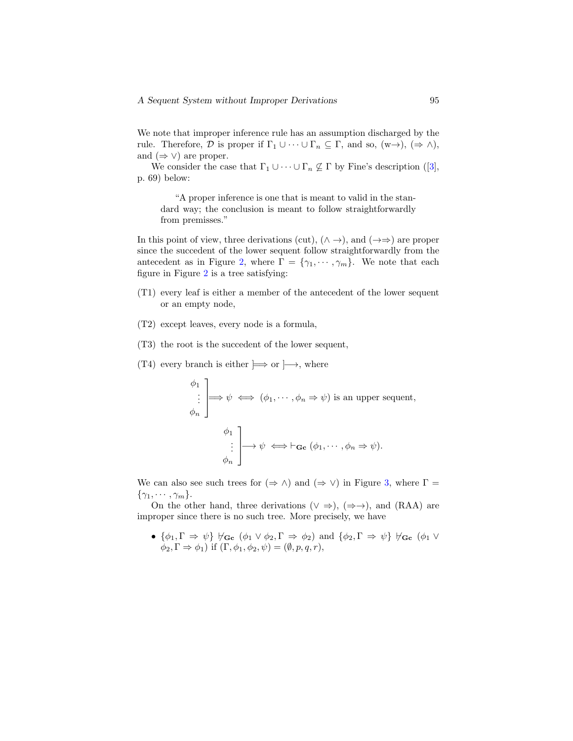We note that improper inference rule has an assumption discharged by the rule. Therefore,  $\mathcal D$  is proper if  $\Gamma_1 \cup \cdots \cup \Gamma_n \subseteq \Gamma$ , and so,  $(w \rightarrow)$ ,  $(\Rightarrow \wedge)$ , and  $(\Rightarrow \vee)$  are proper.

Weconsider the case that  $\Gamma_1 \cup \cdots \cup \Gamma_n \nsubseteq \Gamma$  by Fine's description ([\[3\]](#page-16-1), p. 69) below:

"A proper inference is one that is meant to valid in the standard way; the conclusion is meant to follow straightforwardly from premisses."

In this point of view, three derivations (cut),  $(\wedge \rightarrow)$ , and  $(\rightarrow \Rightarrow)$  are proper since the succedent of the lower sequent follow straightforwardly from the antecedent as in Figure [2,](#page-5-0) where  $\Gamma = {\gamma_1, \cdots, \gamma_m}$ . We note that each figure in Figure [2](#page-5-0) is a tree satisfying:

- (T1) every leaf is either a member of the antecedent of the lower sequent or an empty node,
- (T2) except leaves, every node is a formula,
- (T3) the root is the succedent of the lower sequent,
- (T4) every branch is either  $\Rightarrow$  or  $\rightarrow$ , where

 $\phi_1$ . . .  $\phi_n$ 1  $\Rightarrow \psi \iff (\phi_1, \dots, \phi_n \Rightarrow \psi)$  is an upper sequent,  $\phi_1$ . . .  $\phi_n$ 1  $\mapsto \psi \iff \vdash_{\mathbf{Gc}} (\phi_1, \cdots, \phi_n \Rightarrow \psi).$ 

We can also see such trees for  $(\Rightarrow \wedge)$  and  $(\Rightarrow \vee)$  in Figure [3,](#page-5-0) where  $\Gamma =$  $\{\gamma_1, \cdots, \gamma_m\}.$ 

On the other hand, three derivations ( $\vee \Rightarrow$ ), ( $\Rightarrow \rightarrow$ ), and (RAA) are improper since there is no such tree. More precisely, we have

•  $\{\phi_1, \Gamma \Rightarrow \psi\} \nvDash_{\mathbf{Gc}} (\phi_1 \vee \phi_2, \Gamma \Rightarrow \phi_2)$  and  $\{\phi_2, \Gamma \Rightarrow \psi\} \nvDash_{\mathbf{Gc}} (\phi_1 \vee \phi_2)$  $\phi_2$ ,  $\Gamma \Rightarrow \phi_1$ ) if  $(\Gamma, \phi_1, \phi_2, \psi) = (\emptyset, n, q, r)$ ,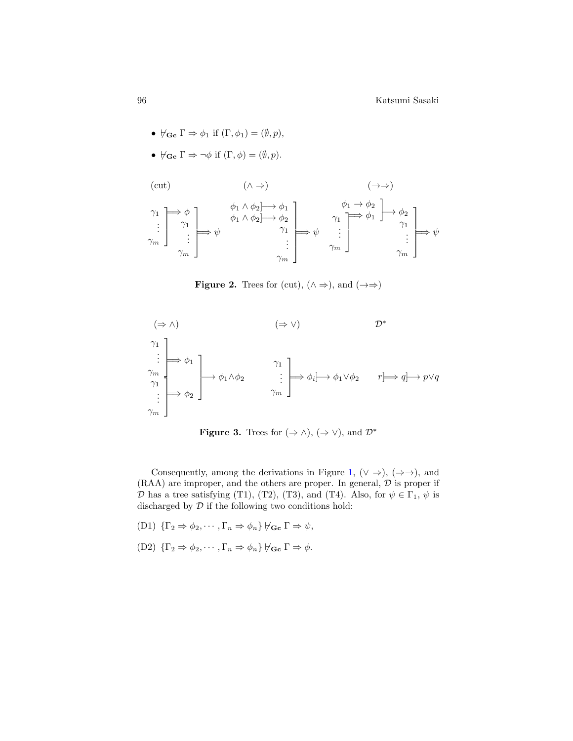- $\nvdash_{\mathbf{Gc}} \Gamma \Rightarrow \phi_1$  if  $(\Gamma, \phi_1) = (\emptyset, p),$
- $\nvdash_{\mathbf{G}\mathbf{c}} \Gamma \Rightarrow \neg \phi$  if  $(\Gamma, \phi) = (\emptyset, p)$ .

<span id="page-5-0"></span>
$$
\begin{array}{ccc}\n\text{(cut)} & & (\wedge \Rightarrow) & & (\rightarrow \Rightarrow) \\
\gamma_1 & \rightarrow & \phi_1 \wedge \phi_2 \rightarrow \phi_1 \\
\vdots & \gamma_1 & \phi_1 \wedge \phi_2 \rightarrow \phi_2 \\
\vdots & \vdots & \vdots \\
\gamma_m & & \gamma_m\n\end{array}\n\right\} \xrightarrow{\phi_1 \wedge \phi_2 \wedge \phi_1} \xrightarrow{\phi_1 \wedge \phi_2} \neg \psi_1 \xrightarrow{\gamma_1} \neg \psi_2 \wedge \neg \psi_1 \xrightarrow{\gamma_1} \neg \psi_2 \wedge \neg \psi_1 \xrightarrow{\gamma_1} \neg \psi_2 \wedge \neg \psi_1 \xrightarrow{\gamma_1} \neg \psi_2 \wedge \neg \psi_1 \xrightarrow{\gamma_1} \neg \psi_2 \wedge \neg \psi_1 \xrightarrow{\gamma_1} \neg \psi_2 \wedge \neg \psi_1 \xrightarrow{\gamma_1} \neg \psi_2 \wedge \neg \psi_1 \xrightarrow{\gamma_1} \neg \psi_2 \wedge \neg \psi_1 \xrightarrow{\gamma_1} \neg \psi_2 \wedge \neg \psi_1 \xrightarrow{\gamma_1} \neg \psi_2 \wedge \neg \psi_1 \xrightarrow{\gamma_1} \neg \psi_2 \wedge \neg \psi_1 \xrightarrow{\gamma_1} \neg \psi_2 \wedge \neg \psi_1 \xrightarrow{\gamma_1} \neg \psi_2 \wedge \neg \psi_1 \xrightarrow{\gamma_1} \neg \psi_2 \wedge \neg \psi_1 \xrightarrow{\gamma_1} \neg \psi_2 \wedge \neg \psi_1 \xrightarrow{\gamma_1} \neg \psi_2 \wedge \neg \psi_1 \xrightarrow{\gamma_1} \neg \psi_2 \wedge \neg \psi_1 \xrightarrow{\gamma_1} \neg \psi_2 \wedge \neg \psi_1 \xrightarrow{\gamma_1} \neg \psi_1 \xrightarrow{\gamma_1} \neg \psi_1 \xrightarrow{\gamma_1} \neg \psi_1 \xrightarrow{\gamma_1} \neg \psi_1 \xrightarrow{\gamma_1} \neg \psi_1 \xrightarrow{\gamma_1} \neg \psi_1 \xrightarrow{\gamma_1} \neg \psi_1 \xrightarrow{\gamma_1} \neg \psi_1 \xrightarrow{\gamma_1} \neg \psi_1 \xrightarrow{\gamma_1} \neg \psi_1 \xrightarrow{\gamma_1} \neg \psi_1 \xrightarrow{\gamma_1} \neg \psi
$$

**Figure 2.** Trees for (cut),  $(\land \Rightarrow)$ , and  $(\rightarrow \Rightarrow)$ 



**Figure 3.** Trees for  $(\Rightarrow \wedge)$ ,  $(\Rightarrow \vee)$ , and  $\mathcal{D}^*$ 

Consequently, among the derivations in Figure [1,](#page-3-0)  $(\vee \Rightarrow)$ ,  $(\Rightarrow \rightarrow)$ , and  $(RAA)$  are improper, and the others are proper. In general,  $D$  is proper if D has a tree satisfying (T1), (T2), (T3), and (T4). Also, for  $\psi \in \Gamma_1$ ,  $\psi$  is discharged by  $\mathcal D$  if the following two conditions hold:

- (D1)  $\{\Gamma_2 \Rightarrow \phi_2, \cdots, \Gamma_n \Rightarrow \phi_n\} \not\vdash_{\mathbf{Gc}} \Gamma \Rightarrow \psi$ ,
- $(D2) \{\Gamma_2 \Rightarrow \phi_2, \cdots, \Gamma_n \Rightarrow \phi_n\} \nvdash_{\mathbf{G} \mathbf{C}} \Gamma \Rightarrow \phi.$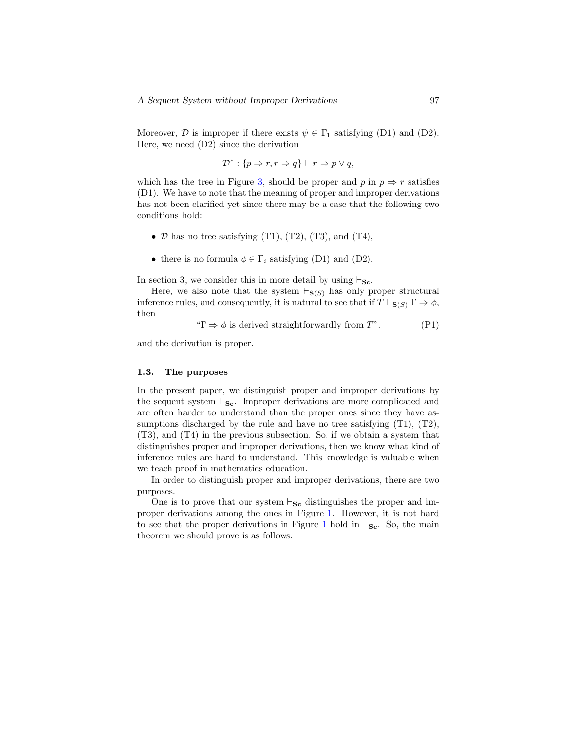Moreover,  $\mathcal D$  is improper if there exists  $\psi \in \Gamma_1$  satisfying (D1) and (D2). Here, we need (D2) since the derivation

$$
\mathcal{D}^* : \{ p \Rightarrow r, r \Rightarrow q \} \vdash r \Rightarrow p \lor q,
$$

which has the tree in Figure [3,](#page-5-0) should be proper and p in  $p \Rightarrow r$  satisfies (D1). We have to note that the meaning of proper and improper derivations has not been clarified yet since there may be a case that the following two conditions hold:

- $\mathcal D$  has no tree satisfying (T1), (T2), (T3), and (T4),
- there is no formula  $\phi \in \Gamma_i$  satisfying (D1) and (D2).

In section 3, we consider this in more detail by using  $\vdash_{\mathbf{Sc}}$ .

Here, we also note that the system  $\vdash_{\mathbf{S}(S)}$  has only proper structural inference rules, and consequently, it is natural to see that if  $T \vdash_{S(S)} \Gamma \Rightarrow \phi$ , then

" $\Gamma \Rightarrow \phi$  is derived straightforwardly from T". (P1)

and the derivation is proper.

#### 1.3. The purposes

In the present paper, we distinguish proper and improper derivations by the sequent system  $\vdash_{\mathbf{Sc}}$ . Improper derivations are more complicated and are often harder to understand than the proper ones since they have assumptions discharged by the rule and have no tree satisfying  $(T1)$ ,  $(T2)$ , (T3), and (T4) in the previous subsection. So, if we obtain a system that distinguishes proper and improper derivations, then we know what kind of inference rules are hard to understand. This knowledge is valuable when we teach proof in mathematics education.

In order to distinguish proper and improper derivations, there are two purposes.

One is to prove that our system  $\vdash_{\mathbf{Sc}}$  distinguishes the proper and improper derivations among the ones in Figure [1.](#page-3-0) However, it is not hard to see that the proper derivations in Figure [1](#page-3-0) hold in  $\vdash_{\mathbf{Sc}}$ . So, the main theorem we should prove is as follows.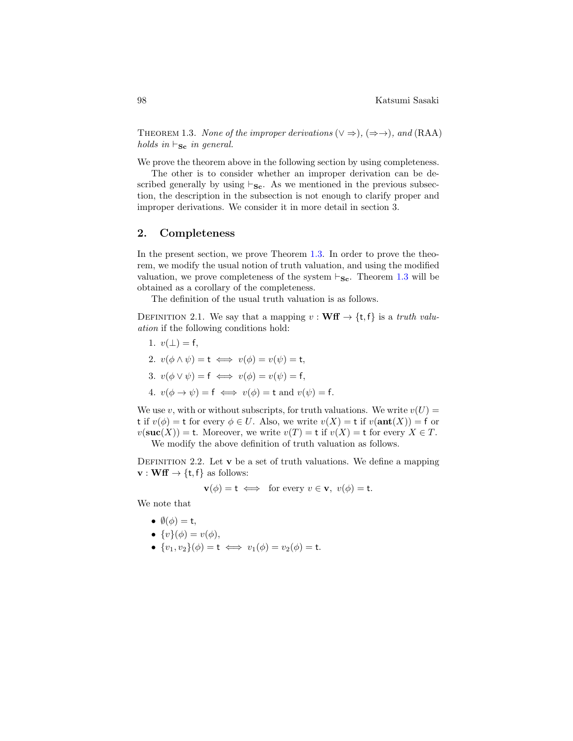<span id="page-7-0"></span>THEOREM 1.3. None of the improper derivations  $(\vee \Rightarrow)$ ,  $(\Rightarrow \rightarrow)$ , and (RAA) holds in  $\vdash_{\mathbf{Sc}}$  in general.

We prove the theorem above in the following section by using completeness.

The other is to consider whether an improper derivation can be described generally by using  $\vdash_{\mathbf{Sc}}$ . As we mentioned in the previous subsection, the description in the subsection is not enough to clarify proper and improper derivations. We consider it in more detail in section 3.

## 2. Completeness

In the present section, we prove Theorem [1.3.](#page-7-0) In order to prove the theorem, we modify the usual notion of truth valuation, and using the modified valuation, we prove completeness of the system  $\vdash_{\mathbf{Sc}}$ . Theorem [1.3](#page-7-0) will be obtained as a corollary of the completeness.

The definition of the usual truth valuation is as follows.

DEFINITION 2.1. We say that a mapping  $v : \textbf{Wff} \rightarrow \{\text{t}, \text{f}\}\$ is a truth valuation if the following conditions hold:

1. 
$$
v(\bot) = f
$$
,  
\n2.  $v(\phi \land \psi) = t \iff v(\phi) = v(\psi) = t$ ,  
\n3.  $v(\phi \lor \psi) = f \iff v(\phi) = v(\psi) = f$ ,  
\n4.  $v(\phi \to \psi) = f \iff v(\phi) = t$  and  $v(\psi) = f$ .

We use v, with or without subscripts, for truth valuations. We write  $v(U)$  = t if  $v(\phi) =$  t for every  $\phi \in U$ . Also, we write  $v(X) =$  t if  $v(\text{ant}(X)) =$  f or  $v(\mathbf{suc}(X)) = t$ . Moreover, we write  $v(T) = t$  if  $v(X) = t$  for every  $X \in T$ .

We modify the above definition of truth valuation as follows.

DEFINITION 2.2. Let  $\bf{v}$  be a set of truth valuations. We define a mapping  $\mathbf{v}: \mathbf{W} \mathbf{f} \to \{\mathsf{t},\mathsf{f}\}\$ as follows:

$$
\mathbf{v}(\phi) = \mathbf{t} \iff \text{ for every } v \in \mathbf{v}, \ v(\phi) = \mathbf{t}.
$$

We note that

- $\emptyset(\phi) = t$ ,
- $\{v\}(\phi) = v(\phi),$
- $\{v_1, v_2\}(\phi) = \mathsf{t} \iff v_1(\phi) = v_2(\phi) = \mathsf{t}.$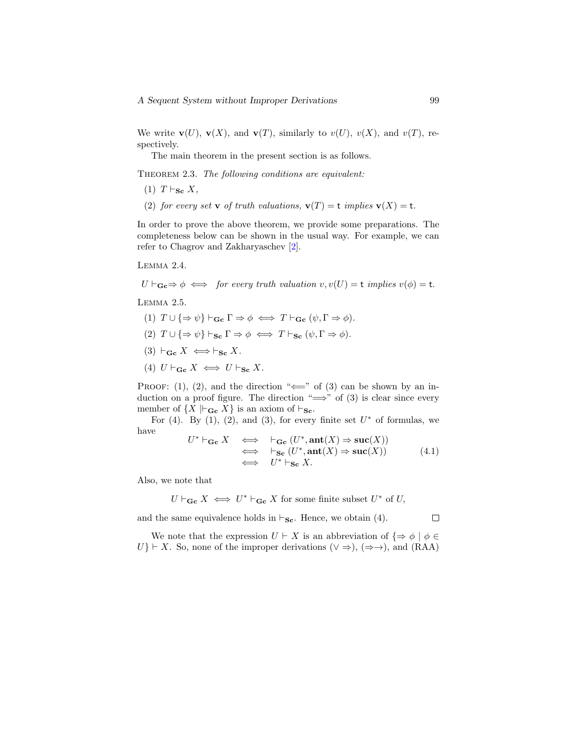We write  $\mathbf{v}(U)$ ,  $\mathbf{v}(X)$ , and  $\mathbf{v}(T)$ , similarly to  $v(U)$ ,  $v(X)$ , and  $v(T)$ , respectively.

The main theorem in the present section is as follows.

<span id="page-8-2"></span>THEOREM 2.3. The following conditions are equivalent:

- $(1)$   $T \vdash_{\mathbf{Sc}} X$ ,
- (2) for every set **v** of truth valuations,  $\mathbf{v}(T) = \mathbf{t}$  implies  $\mathbf{v}(X) = \mathbf{t}$ .

In order to prove the above theorem, we provide some preparations. The completeness below can be shown in the usual way. For example, we can refer to Chagrov and Zakharyaschev [\[2\]](#page-16-4).

<span id="page-8-1"></span>Lemma 2.4.

 $U \vdash_{\mathbf{Gc}} \Rightarrow \phi \iff \text{ for every truth valuation } v, v(U) = \mathsf{t} \text{ implies } v(\phi) = \mathsf{t}.$ 

<span id="page-8-0"></span>LEMMA<sub>2.5</sub>.

- (1)  $T \cup \{\Rightarrow \psi\} \vdash_{\mathbf{Gc}} \Gamma \Rightarrow \phi \iff T \vdash_{\mathbf{Gc}} (\psi, \Gamma \Rightarrow \phi).$
- (2)  $T \cup \{\Rightarrow \psi\} \vdash_{\mathbf{Sc}} \Gamma \Rightarrow \phi \iff T \vdash_{\mathbf{Sc}} (\psi, \Gamma \Rightarrow \phi).$
- (3)  $\vdash_{\mathbf{Gc}} X \iff \vdash_{\mathbf{Sc}} X$ .
- (4)  $U \vdash_{\mathbf{Gc}} X \iff U \vdash_{\mathbf{Sc}} X$ .

PROOF: (1), (2), and the direction " $\Longleftarrow$ " of (3) can be shown by an induction on a proof figure. The direction " $\implies$ " of (3) is clear since every member of  $\{X \models_{\mathbf{Gc}} X\}$  is an axiom of  $\vdash_{\mathbf{Sc}}$ .

For  $(4)$ . By  $(1)$ ,  $(2)$ , and  $(3)$ , for every finite set  $U^*$  of formulas, we have

$$
U^* \vdash_{\mathbf{Gc}} X \iff \vdash_{\mathbf{Gc}} (U^*, \mathbf{ant}(X) \Rightarrow \mathbf{suc}(X))
$$
  
\n
$$
\iff \vdash_{\mathbf{Sc}} (U^*, \mathbf{ant}(X) \Rightarrow \mathbf{suc}(X))
$$
  
\n
$$
\iff U^* \vdash_{\mathbf{Sc}} X.
$$
\n(4.1)

Also, we note that

 $U \vdash_{\mathbf{Gc}} X \iff U^* \vdash_{\mathbf{Gc}} X$  for some finite subset  $U^*$  of U,

and the same equivalence holds in  $\vdash_{\mathbf{Sc}}$ . Hence, we obtain (4).

We note that the expression  $U \vdash X$  is an abbreviation of  $\{\Rightarrow \phi \mid \phi \in$  $U$ }  $\vdash$  X. So, none of the improper derivations ( $\lor \Rightarrow$ ), ( $\Rightarrow \rightarrow$ ), and (RAA)

П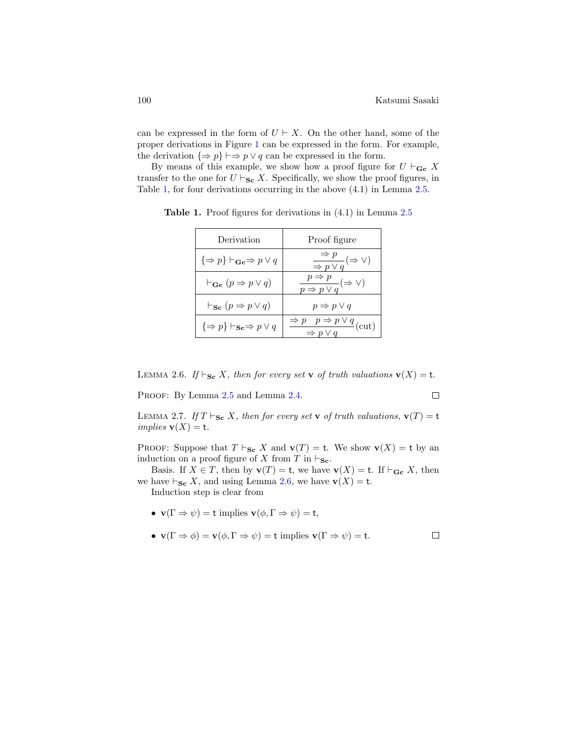$\Box$ 

 $\Box$ 

can be expressed in the form of  $U \vdash X$ . On the other hand, some of the proper derivations in Figure [1](#page-3-0) can be expressed in the form. For example, the derivation  $\{\Rightarrow p\} \vdash \Rightarrow p \lor q$  can be expressed in the form.

By means of this example, we show how a proof figure for  $U \vdash_{\mathbf{Gc}} X$ transfer to the one for  $U \vdash_{\mathbf{Sc}} X$ . Specifically, we show the proof figures, in Table [1,](#page-9-0) for four derivations occurring in the above (4.1) in Lemma [2.5.](#page-8-0)

| Derivation                                                    | Proof figure                                                                 |
|---------------------------------------------------------------|------------------------------------------------------------------------------|
| $\{\Rightarrow p\} \vdash_{\mathbf{Gc}} \Rightarrow p \lor q$ | $\frac{\Rightarrow p}{\Rightarrow p \vee q} (\Rightarrow \vee)$              |
| $\vdash_{\mathbf{Gc}} (p \Rightarrow p \vee q)$               | $\frac{p \Rightarrow p}{p \Rightarrow p \vee q} (\Rightarrow \vee)$          |
| $\vdash_{\mathbf{Sc}} (p \Rightarrow p \vee q)$               | $p \Rightarrow p \vee q$                                                     |
| $\{\Rightarrow p\} \vdash_{\mathbf{Sc}} \Rightarrow p \vee q$ | $\Rightarrow p \quad p \Rightarrow p \lor q$<br>$\Rightarrow p \lor q$ (cut) |

<span id="page-9-0"></span>Table 1. Proof figures for derivations in  $(4.1)$  in Lemma [2.5](#page-8-0)

<span id="page-9-1"></span>LEMMA 2.6. If  $\vdash_{\mathbf{Sc}} X$ , then for every set **v** of truth valuations  $\mathbf{v}(X) = \mathbf{t}$ .

PROOF: By Lemma  $2.5$  and Lemma  $2.4$ .

<span id="page-9-2"></span>LEMMA 2.7. If  $T \vdash_{\mathbf{Sc}} X$ , then for every set v of truth valuations,  $\mathbf{v}(T) = \mathbf{t}$ *implies*  $\mathbf{v}(X) = \mathbf{t}$ .

PROOF: Suppose that  $T \vdash_{\mathbf{Sc}} X$  and  $\mathbf{v}(T) = \mathbf{t}$ . We show  $\mathbf{v}(X) = \mathbf{t}$  by an induction on a proof figure of X from T in  $\vdash_{\mathbf{Sc}}$ .

Basis. If  $X \in T$ , then by  $\mathbf{v}(T) = \mathbf{t}$ , we have  $\mathbf{v}(X) = \mathbf{t}$ . If  $\vdash_{\mathbf{Gc}} X$ , then we have  $\vdash_{\mathbf{Sc}} X$ , and using Lemma [2.6,](#page-9-1) we have  $\mathbf{v}(X) = \mathbf{t}$ .

Induction step is clear from

- $\mathbf{v}(\Gamma \Rightarrow \psi) = \mathbf{t}$  implies  $\mathbf{v}(\phi, \Gamma \Rightarrow \psi) = \mathbf{t}$ ,
- $\mathbf{v}(\Gamma \Rightarrow \phi) = \mathbf{v}(\phi, \Gamma \Rightarrow \psi) = \mathbf{t}$  implies  $\mathbf{v}(\Gamma \Rightarrow \psi) = \mathbf{t}$ .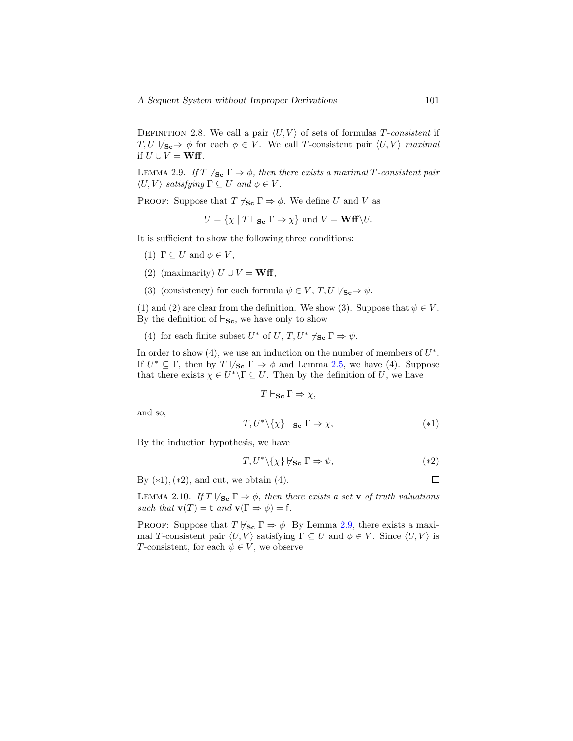DEFINITION 2.8. We call a pair  $\langle U, V \rangle$  of sets of formulas T-consistent if  $T, U \nvDash_{\mathbf{Sc}} \Rightarrow \phi$  for each  $\phi \in V$ . We call T-consistent pair  $\langle U, V \rangle$  maximal if  $U \cup V = \mathbf{W} \mathbf{f}$ .

<span id="page-10-0"></span>LEMMA 2.9. If  $T \nvdash_{\mathbf{Sc}} \Gamma \Rightarrow \phi$ , then there exists a maximal T-consistent pair  $\langle U, V \rangle$  satisfying  $\Gamma \subseteq U$  and  $\phi \in V$ .

PROOF: Suppose that  $T \nvdash_{\mathbf{Sc}} \Gamma \Rightarrow \phi$ . We define U and V as

 $U = \{ \chi \mid T \vdash_{\mathbf{S_c}} \Gamma \Rightarrow \chi \}$  and  $V = \mathbf{W} \mathbf{f} \setminus U$ .

It is sufficient to show the following three conditions:

(1)  $\Gamma \subset U$  and  $\phi \in V$ ,

- (2) (maximarity)  $U \cup V = \mathbf{W} \mathbf{f}$ ,
- (3) (consistency) for each formula  $\psi \in V$ ,  $T$ ,  $U \nvdash_{\mathbf{S_c}} \Rightarrow \psi$ .

(1) and (2) are clear from the definition. We show (3). Suppose that  $\psi \in V$ . By the definition of  $\vdash_{\mathbf{Sc}}$ , we have only to show

(4) for each finite subset  $U^*$  of  $U, T, U^* \nvdash_{\mathbf{Sc}} \Gamma \Rightarrow \psi$ .

In order to show  $(4)$ , we use an induction on the number of members of  $U^*$ . If  $U^* \subseteq \Gamma$ , then by  $T \nvdash_{\mathbf{Sc}} \Gamma \Rightarrow \phi$  and Lemma [2.5,](#page-8-0) we have (4). Suppose that there exists  $\chi \in U^* \backslash \Gamma \subseteq U$ . Then by the definition of U, we have

$$
T \vdash_{\mathbf{Sc}} \Gamma \Rightarrow \chi,
$$

and so,

$$
T, U^* \setminus \{\chi\} \vdash_{\mathbf{Sc}} \Gamma \Rightarrow \chi,\tag{*1}
$$

By the induction hypothesis, we have

$$
T, U^* \setminus \{\chi\} \not\vdash_{\mathbf{Sc}} \Gamma \Rightarrow \psi,\tag{*2}
$$

By  $(*1),(*2),$  and cut, we obtain  $(4).$ 

<span id="page-10-1"></span>LEMMA 2.10. If  $T \nvDash_{\mathbf{Sc}} \Gamma \Rightarrow \phi$ , then there exists a set v of truth valuations such that  $\mathbf{v}(T) = \mathbf{t}$  and  $\mathbf{v}(\Gamma \Rightarrow \phi) = \mathbf{f}$ .

PROOF: Suppose that  $T \nvdash_{\mathbf{Sc}} \Gamma \Rightarrow \phi$ . By Lemma [2.9,](#page-10-0) there exists a maximal T-consistent pair  $\langle U, V \rangle$  satisfying  $\Gamma \subseteq U$  and  $\phi \in V$ . Since  $\langle U, V \rangle$  is T-consistent, for each  $\psi \in V$ , we observe

 $\Box$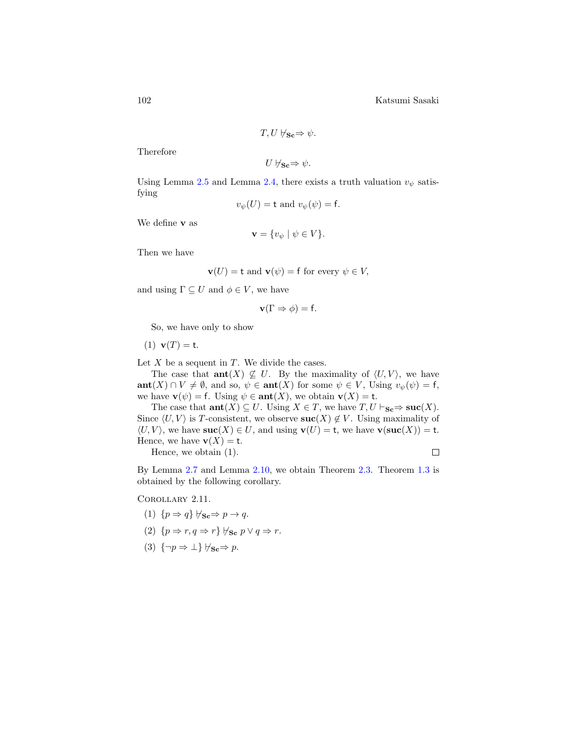$$
T, U \not\models_{\mathbf{Sc}} \Rightarrow \psi.
$$

Therefore

 $U \nvdash_{\mathbf{Sc}} \Rightarrow \psi.$ 

Using Lemma [2.5](#page-8-0) and Lemma [2.4,](#page-8-1) there exists a truth valuation  $v_{\psi}$  satisfying

$$
v_{\psi}(U) = \mathsf{t} \text{ and } v_{\psi}(\psi) = \mathsf{f}.
$$

We define v as

$$
\mathbf{v} = \{ v_{\psi} \mid \psi \in V \}.
$$

Then we have

$$
\mathbf{v}(U) = \mathbf{t} \text{ and } \mathbf{v}(\psi) = \mathbf{f} \text{ for every } \psi \in V,
$$

and using  $\Gamma \subseteq U$  and  $\phi \in V$ , we have

$$
\mathbf{v}(\Gamma \Rightarrow \phi) = \mathbf{f}.
$$

So, we have only to show

(1)  $v(T) = t$ .

Let  $X$  be a sequent in  $T$ . We divide the cases.

The case that  $\text{ant}(X) \not\subseteq U$ . By the maximality of  $\langle U, V \rangle$ , we have  $\text{ant}(X) \cap V \neq \emptyset$ , and so,  $\psi \in \text{ant}(X)$  for some  $\psi \in V$ , Using  $v_{\psi}(\psi) = f$ , we have  $\mathbf{v}(\psi) = \mathbf{f}$ . Using  $\psi \in \text{ant}(X)$ , we obtain  $\mathbf{v}(X) = \mathbf{t}$ .

The case that  $\text{ant}(X) \subseteq U$ . Using  $X \in T$ , we have  $T, U \vdash_{\mathbf{Sc}} \Rightarrow \textbf{succ}(X)$ . Since  $\langle U, V \rangle$  is T-consistent, we observe  $\textbf{suc}(X) \notin V$ . Using maximality of  $\langle U, V \rangle$ , we have  $\textbf{succ}(X) \in U$ , and using  $\textbf{v}(U) = \textbf{t}$ , we have  $\textbf{v}(\textbf{succ}(X)) = \textbf{t}$ . Hence, we have  $\mathbf{v}(X) = \mathbf{t}$ .

Hence, we obtain (1).

By Lemma [2.7](#page-9-2) and Lemma [2.10,](#page-10-1) we obtain Theorem [2.3.](#page-8-2) Theorem [1.3](#page-7-0) is obtained by the following corollary.

Corollary 2.11.

$$
(1) \ \{p \Rightarrow q\} \not\vdash_{\mathbf{Sc}} \Rightarrow p \to q.
$$

(2) 
$$
\{p \Rightarrow r, q \Rightarrow r\} \forall \mathbf{s} \in p \lor q \Rightarrow r.
$$

(3)  $\{\neg p \Rightarrow \bot\} \not\vdash_{\mathbf{Sc}} \Rightarrow p.$ 

 $\Box$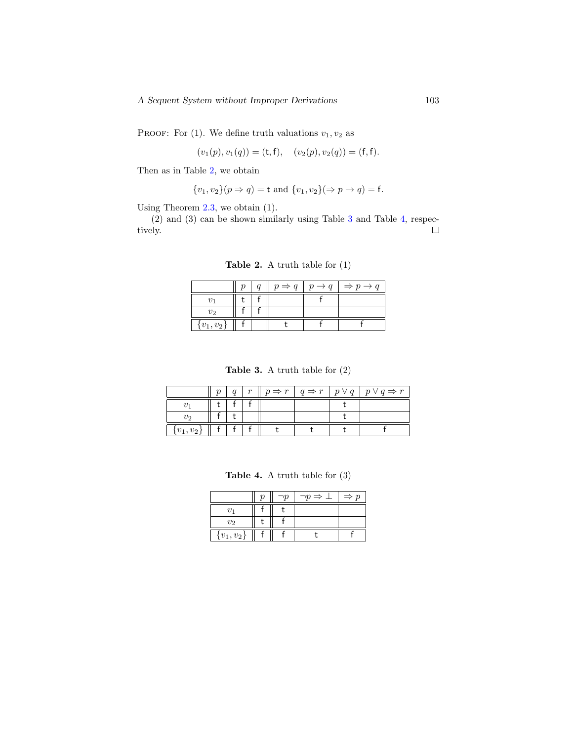PROOF: For (1). We define truth valuations  $v_1, v_2$  as

$$
(v_1(p), v_1(q)) = (\mathsf{t}, \mathsf{f}), \quad (v_2(p), v_2(q)) = (\mathsf{f}, \mathsf{f}).
$$

Then as in Table [2,](#page-12-0) we obtain

$$
{v_1, v_2}(p \Rightarrow q) = t
$$
 and  ${v_1, v_2}( \Rightarrow p \to q) = f$ .

Using Theorem [2.3,](#page-8-2) we obtain (1).

<span id="page-12-0"></span>(2) and (3) can be shown similarly using Table [3](#page-12-1) and Table [4,](#page-12-2) respectively.  $\Box$ 

Table 2. A truth table for (1)

|                | $\mathfrak{a}$ |  | $p \Rightarrow q \mid p \rightarrow q \mid \Rightarrow p \rightarrow q$ |
|----------------|----------------|--|-------------------------------------------------------------------------|
|                |                |  |                                                                         |
| $v_2$          |                |  |                                                                         |
| $\{v_1, v_2\}$ |                |  |                                                                         |

Table 3. A truth table for (2)

<span id="page-12-1"></span>

|               |  |  |  | $q \mid r \parallel p \Rightarrow r \mid q \Rightarrow r \mid p \vee q \mid p \vee q \Rightarrow r$ |
|---------------|--|--|--|-----------------------------------------------------------------------------------------------------|
|               |  |  |  |                                                                                                     |
| υ2            |  |  |  |                                                                                                     |
| $\{v_1,v_2\}$ |  |  |  |                                                                                                     |

Table 4. A truth table for (3)

<span id="page-12-2"></span>

|                   |  | י $p \Rightarrow \bot$ | $\Rightarrow p$ |
|-------------------|--|------------------------|-----------------|
| 221               |  |                        |                 |
| v <sub>2</sub>    |  |                        |                 |
| $\{v_{1},v_{2}\}$ |  |                        |                 |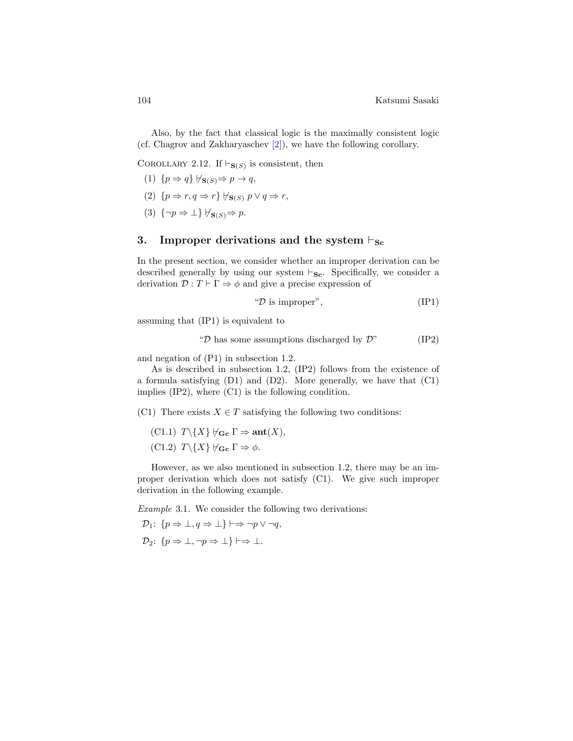Also, by the fact that classical logic is the maximally consistent logic (cf. Chagrov and Zakharyaschev [\[2\]](#page-16-4)), we have the following corollary.

COROLLARY 2.12. If  $\vdash_{\mathbf{S}(S)}$  is consistent, then

$$
(1) \{p \Rightarrow q\} \not\vdash_{\mathbf{S}(S)} \Rightarrow p \to q,
$$

- (2)  $\{p \Rightarrow r, q \Rightarrow r\} \not\vdash_{S(S)} p \vee q \Rightarrow r,$
- (3)  $\{\neg p \Rightarrow \bot\} \forall s(s) \Rightarrow p$ .

# 3. Improper derivations and the system  $\vdash_{\mathbf{Sc}}$

In the present section, we consider whether an improper derivation can be described generally by using our system  $\vdash_{\mathbf{Sc}}$ . Specifically, we consider a derivation  $\mathcal{D}: T \vdash \Gamma \Rightarrow \phi$  and give a precise expression of

$$
``\mathcal{D} \text{ is improper",} \tag{IP1}
$$

assuming that (IP1) is equivalent to

" $\mathcal{D}$  has some assumptions discharged by  $\mathcal{D}$ " (IP2)

and negation of (P1) in subsection 1.2.

As is described in subsection 1.2, (IP2) follows from the existence of a formula satisfying (D1) and (D2). More generally, we have that (C1) implies (IP2), where (C1) is the following condition.

(C1) There exists  $X \in T$  satisfying the following two conditions:

 $(C1.1)$   $T\backslash\{X\}$   $\forall$ <sub>Gc</sub>  $\Gamma \Rightarrow \text{ant}(X)$ , (C1.2)  $T\backslash\{X\} \not\vdash_{\mathbf{Gc}} \Gamma \Rightarrow \phi$ .

However, as we also mentioned in subsection 1.2, there may be an improper derivation which does not satisfy (C1). We give such improper derivation in the following example.

<span id="page-13-0"></span>Example 3.1. We consider the following two derivations:

$$
\mathcal{D}_1: \{p \Rightarrow \bot, q \Rightarrow \bot\} \vdash \Rightarrow \neg p \lor \neg q,
$$
  

$$
\mathcal{D}_2: \{p \Rightarrow \bot, \neg p \Rightarrow \bot\} \vdash \Rightarrow \bot.
$$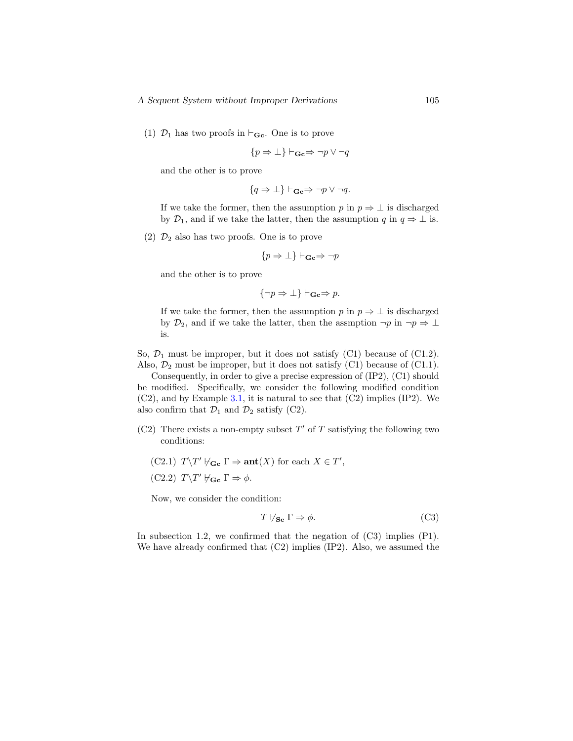(1)  $\mathcal{D}_1$  has two proofs in  $\vdash_{\mathbf{Gc}}$ . One is to prove

$$
\{p \Rightarrow \bot\} \vdash_{\mathbf{Gc}} \Rightarrow \neg p \lor \neg q
$$

and the other is to prove

$$
\{q \Rightarrow \bot\} \vdash_{\mathbf{Gc}} \Rightarrow \neg p \lor \neg q.
$$

If we take the former, then the assumption p in  $p \Rightarrow \bot$  is discharged by  $\mathcal{D}_1$ , and if we take the latter, then the assumption q in  $q \Rightarrow \perp$  is.

(2)  $\mathcal{D}_2$  also has two proofs. One is to prove

$$
\{p \Rightarrow \bot\} \vdash_{\mathbf{Gc}} \Rightarrow \neg p
$$

and the other is to prove

$$
\{\neg p \Rightarrow \bot\} \vdash_{\mathbf{Gc}} \Rightarrow p.
$$

If we take the former, then the assumption p in  $p \Rightarrow \bot$  is discharged by  $\mathcal{D}_2$ , and if we take the latter, then the assmption  $\neg p$  in  $\neg p \Rightarrow \bot$ is.

So,  $\mathcal{D}_1$  must be improper, but it does not satisfy (C1) because of (C1.2). Also,  $\mathcal{D}_2$  must be improper, but it does not satisfy (C1) because of (C1.1).

Consequently, in order to give a precise expression of (IP2), (C1) should be modified. Specifically, we consider the following modified condition  $(C2)$ , and by Example [3.1,](#page-13-0) it is natural to see that  $(C2)$  implies  $(IP2)$ . We also confirm that  $\mathcal{D}_1$  and  $\mathcal{D}_2$  satisfy (C2).

- $(C2)$  There exists a non-empty subset T' of T satisfying the following two conditions:
	- (C2.1)  $T\T \forall G \in \Gamma \Rightarrow \text{ant}(X)$  for each  $X \in T'$ , (C2.2)  $T\T' \nvdash_{\mathbf{Gc}} \Gamma \Rightarrow \phi$ .

Now, we consider the condition:

$$
T \not\vdash_{\mathbf{Sc}} \Gamma \Rightarrow \phi. \tag{C3}
$$

In subsection 1.2, we confirmed that the negation of  $(C3)$  implies  $(P1)$ . We have already confirmed that  $(C2)$  implies  $(IP2)$ . Also, we assumed the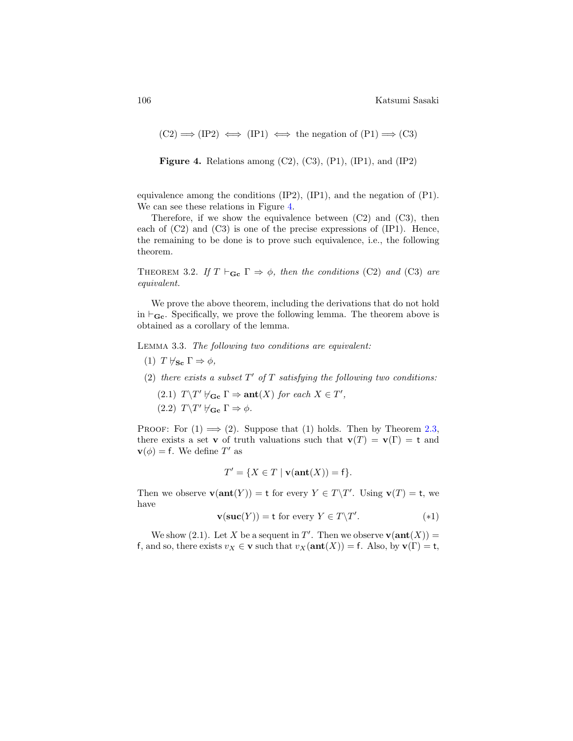<span id="page-15-0"></span> $(C2) \implies (IP2) \iff (IP1) \iff \text{the negation of } (P1) \implies (C3)$ 

**Figure 4.** Relations among  $(C2)$ ,  $(C3)$ ,  $(P1)$ ,  $(IP1)$ , and  $(IP2)$ 

equivalence among the conditions  $(IP2)$ ,  $(IP1)$ , and the negation of  $(P1)$ . We can see these relations in Figure [4.](#page-15-0)

Therefore, if we show the equivalence between  $(C2)$  and  $(C3)$ , then each of  $(C2)$  and  $(C3)$  is one of the precise expressions of  $(IP1)$ . Hence, the remaining to be done is to prove such equivalence, i.e., the following theorem.

THEOREM 3.2. If  $T \vdash_{\mathbf{Gc}} \Gamma \Rightarrow \phi$ , then the conditions (C2) and (C3) are equivalent.

We prove the above theorem, including the derivations that do not hold in  $\vdash_{\mathbf{Gc}}$ . Specifically, we prove the following lemma. The theorem above is obtained as a corollary of the lemma.

Lemma 3.3. The following two conditions are equivalent:

- (1)  $T \nvdash_{\mathbf{Sc}} \Gamma \Rightarrow \phi$ ,
- (2) there exists a subset  $T'$  of  $T$  satisfying the following two conditions: (2.1)  $T\T\forall T' \; \forall_{\mathbf{Gc}} \Gamma \Rightarrow \mathbf{ant}(X) \text{ for each } X \in T',$ (2.2)  $T \T \forall G \in \Gamma \Rightarrow \phi$ .

PROOF: For  $(1) \implies (2)$ . Suppose that  $(1)$  holds. Then by Theorem [2.3,](#page-8-2) there exists a set v of truth valuations such that  $\mathbf{v}(T) = \mathbf{v}(\Gamma) = \mathbf{t}$  and  $\mathbf{v}(\phi) = \mathbf{f}$ . We define T' as

$$
T' = \{ X \in T \mid \mathbf{v}(\mathbf{ant}(X)) = \mathbf{f} \}.
$$

Then we observe  $\mathbf{v}(\text{ant}(Y)) = \mathbf{t}$  for every  $Y \in T \backslash T'$ . Using  $\mathbf{v}(T) = \mathbf{t}$ , we have

$$
\mathbf{v}(\mathbf{suc}(Y)) = \mathbf{t} \text{ for every } Y \in T \backslash T'. \tag{*1}
$$

We show (2.1). Let X be a sequent in T'. Then we observe  $\mathbf{v}(\text{ant}(X)) =$ f, and so, there exists  $v_X \in \mathbf{v}$  such that  $v_X(\text{ant}(X)) = f$ . Also, by  $\mathbf{v}(\Gamma) = \mathbf{t}$ ,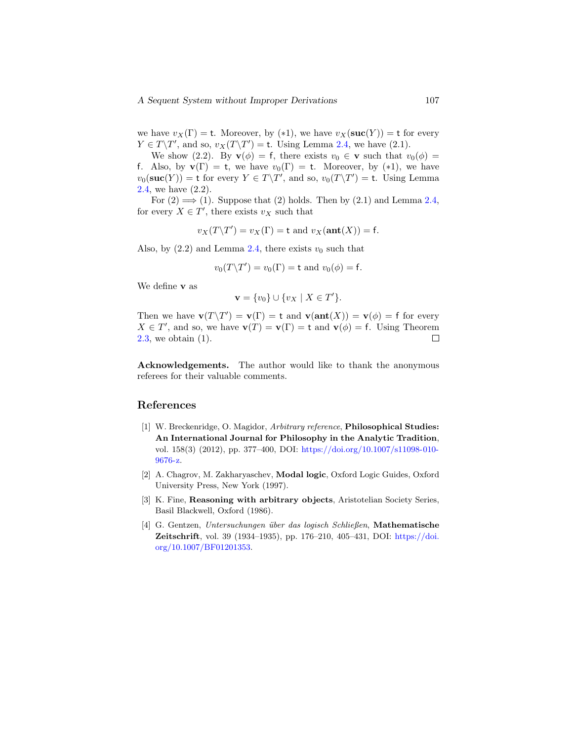we have  $v_X(\Gamma) = t$ . Moreover, by (\*1), we have  $v_X(\textbf{succ}(Y)) = t$  for every  $Y \in T\backslash T'$ , and so,  $v_X(T\backslash T') =$  t. Using Lemma [2.4,](#page-8-1) we have (2.1).

We show (2.2). By  $\mathbf{v}(\phi) = f$ , there exists  $v_0 \in \mathbf{v}$  such that  $v_0(\phi) =$ f. Also, by  $\mathbf{v}(\Gamma) = \mathbf{t}$ , we have  $v_0(\Gamma) = \mathbf{t}$ . Moreover, by (\*1), we have  $v_0(\textbf{succ}(Y)) = \text{t}$  for every  $Y \in T \backslash T'$ , and so,  $v_0(T \backslash T') = \text{t}$ . Using Lemma [2.4,](#page-8-1) we have (2.2).

For  $(2) \implies (1)$ . Suppose that  $(2)$  holds. Then by  $(2.1)$  and Lemma [2.4,](#page-8-1) for every  $X \in T'$ , there exists  $v_X$  such that

$$
v_X(T\Upsilon') = v_X(\Gamma) = \text{t and } v_X(\text{ant}(X)) = \text{f}.
$$

Also, by  $(2.2)$  and Lemma [2.4,](#page-8-1) there exists  $v_0$  such that

$$
v_0(T\backslash T') = v_0(\Gamma) = \text{t and } v_0(\phi) = \text{f}.
$$

We define v as

$$
\mathbf{v} = \{v_0\} \cup \{v_X \mid X \in T'\}.
$$

Then we have  $\mathbf{v}(T\backslash T') = \mathbf{v}(\Gamma) = \mathbf{t}$  and  $\mathbf{v}(\text{ant}(X)) = \mathbf{v}(\phi) = \mathbf{f}$  for every  $X \in T'$ , and so, we have  $\mathbf{v}(T) = \mathbf{v}(\Gamma) = \mathbf{t}$  and  $\mathbf{v}(\phi) = \mathbf{f}$ . Using Theorem [2.3,](#page-8-2) we obtain (1).  $\Box$ 

Acknowledgements. The author would like to thank the anonymous referees for their valuable comments.

## References

- <span id="page-16-2"></span>[1] W. Breckenridge, O. Magidor, Arbitrary reference, Philosophical Studies: An International Journal for Philosophy in the Analytic Tradition, vol. 158(3) (2012), pp. 377–400, DOI: [https://doi.org/10.1007/s11098-010-](https://doi.org/10.1007/s11098-010-9676-z) [9676-z.](https://doi.org/10.1007/s11098-010-9676-z)
- <span id="page-16-4"></span>[2] A. Chagrov, M. Zakharyaschev, Modal logic, Oxford Logic Guides, Oxford University Press, New York (1997).
- <span id="page-16-1"></span><span id="page-16-0"></span>[3] K. Fine, Reasoning with arbitrary objects, Aristotelian Society Series, Basil Blackwell, Oxford (1986).
- <span id="page-16-3"></span>[4] G. Gentzen, Untersuchungen ¨uber das logisch Schließen, Mathematische Zeitschrift, vol. 39 (1934–1935), pp. 176–210, 405–431, DOI: [https://doi.](https://doi.org/10.1007/BF01201353) [org/10.1007/BF01201353.](https://doi.org/10.1007/BF01201353)